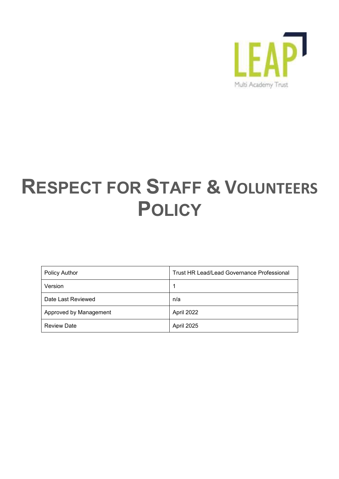

# **RESPECT FOR STAFF & VOLUNTEERS POLICY**

| <b>Policy Author</b>   | Trust HR Lead/Lead Governance Professional |
|------------------------|--------------------------------------------|
| Version                |                                            |
| Date Last Reviewed     | n/a                                        |
| Approved by Management | April 2022                                 |
| <b>Review Date</b>     | April 2025                                 |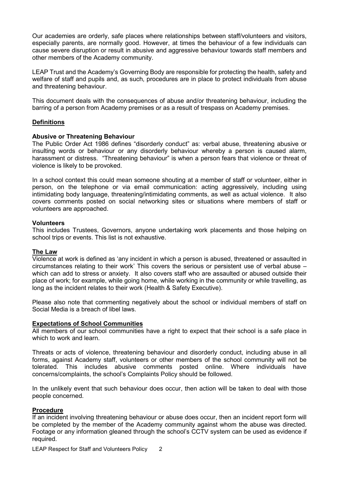Our academies are orderly, safe places where relationships between staff/volunteers and visitors, especially parents, are normally good. However, at times the behaviour of a few individuals can cause severe disruption or result in abusive and aggressive behaviour towards staff members and other members of the Academy community.

LEAP Trust and the Academy's Governing Body are responsible for protecting the health, safety and welfare of staff and pupils and, as such, procedures are in place to protect individuals from abuse and threatening behaviour.

This document deals with the consequences of abuse and/or threatening behaviour, including the barring of a person from Academy premises or as a result of trespass on Academy premises.

# **Definitions**

## **Abusive or Threatening Behaviour**

The Public Order Act 1986 defines "disorderly conduct" as: verbal abuse, threatening abusive or insulting words or behaviour or any disorderly behaviour whereby a person is caused alarm, harassment or distress. "Threatening behaviour" is when a person fears that violence or threat of violence is likely to be provoked.

In a school context this could mean someone shouting at a member of staff or volunteer, either in person, on the telephone or via email communication: acting aggressively, including using intimidating body language, threatening/intimidating comments, as well as actual violence. It also covers comments posted on social networking sites or situations where members of staff or volunteers are approached.

#### **Volunteers**

This includes Trustees, Governors, anyone undertaking work placements and those helping on school trips or events. This list is not exhaustive.

#### **The Law**

Violence at work is defined as 'any incident in which a person is abused, threatened or assaulted in circumstances relating to their work' This covers the serious or persistent use of verbal abuse – which can add to stress or anxiety. It also covers staff who are assaulted or abused outside their place of work; for example, while going home, while working in the community or while travelling, as long as the incident relates to their work (Health & Safety Executive).

Please also note that commenting negatively about the school or individual members of staff on Social Media is a breach of libel laws.

#### **Expectations of School Communities**

All members of our school communities have a right to expect that their school is a safe place in which to work and learn.

Threats or acts of violence, threatening behaviour and disorderly conduct, including abuse in all forms, against Academy staff, volunteers or other members of the school community will not be tolerated. This includes abusive comments posted online. Where individuals have concerns/complaints, the school's Complaints Policy should be followed.

In the unlikely event that such behaviour does occur, then action will be taken to deal with those people concerned.

#### **Procedure**

If an incident involving threatening behaviour or abuse does occur, then an incident report form will be completed by the member of the Academy community against whom the abuse was directed. Footage or any information gleaned through the school's CCTV system can be used as evidence if required.

LEAP Respect for Staff and Volunteers Policy 2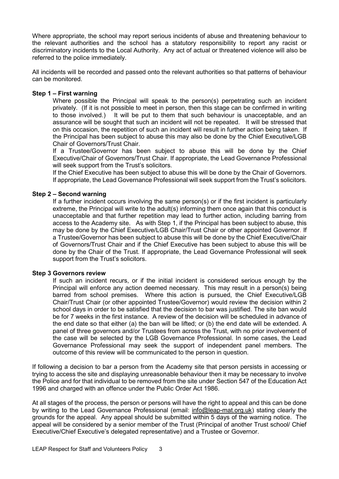Where appropriate, the school may report serious incidents of abuse and threatening behaviour to the relevant authorities and the school has a statutory responsibility to report any racist or discriminatory incidents to the Local Authority. Any act of actual or threatened violence will also be referred to the police immediately.

All incidents will be recorded and passed onto the relevant authorities so that patterns of behaviour can be monitored.

## **Step 1 – First warning**

Where possible the Principal will speak to the person(s) perpetrating such an incident privately. (If it is not possible to meet in person, then this stage can be confirmed in writing to those involved.) It will be put to them that such behaviour is unacceptable, and an assurance will be sought that such an incident will not be repeated. It will be stressed that on this occasion, the repetition of such an incident will result in further action being taken. If the Principal has been subject to abuse this may also be done by the Chief Executive/LGB Chair of Governors/Trust Chair.

If a Trustee/Governor has been subject to abuse this will be done by the Chief Executive/Chair of Governors/Trust Chair. If appropriate, the Lead Governance Professional will seek support from the Trust's solicitors.

If the Chief Executive has been subject to abuse this will be done by the Chair of Governors. If appropriate, the Lead Governance Professional will seek support from the Trust's solicitors.

## **Step 2 – Second warning**

If a further incident occurs involving the same person(s) or if the first incident is particularly extreme, the Principal will write to the adult(s) informing them once again that this conduct is unacceptable and that further repetition may lead to further action, including barring from access to the Academy site. As with Step 1, if the Principal has been subject to abuse, this may be done by the Chief Executive/LGB Chair/Trust Chair or other appointed Governor. If a Trustee/Governor has been subject to abuse this will be done by the Chief Executive/Chair of Governors/Trust Chair and if the Chief Executive has been subject to abuse this will be done by the Chair of the Trust. If appropriate, the Lead Governance Professional will seek support from the Trust's solicitors.

# **Step 3 Governors review**

If such an incident recurs, or if the initial incident is considered serious enough by the Principal will enforce any action deemed necessary. This may result in a person(s) being barred from school premises. Where this action is pursued, the Chief Executive/LGB Chair/Trust Chair (or other appointed Trustee/Governor) would review the decision within 2 school days in order to be satisfied that the decision to bar was justified. The site ban would be for 7 weeks in the first instance. A review of the decision will be scheduled in advance of the end date so that either (a) the ban will be lifted; or (b) the end date will be extended. A panel of three governors and/or Trustees from across the Trust, with no prior involvement of the case will be selected by the LGB Governance Professional. In some cases, the Lead Governance Professional may seek the support of independent panel members. The outcome of this review will be communicated to the person in question.

If following a decision to bar a person from the Academy site that person persists in accessing or trying to access the site and displaying unreasonable behaviour then it may be necessary to involve the Police and for that individual to be removed from the site under Section 547 of the Education Act 1996 and charged with an offence under the Public Order Act 1986.

At all stages of the process, the person or persons will have the right to appeal and this can be done by writing to the Lead Governance Professional (email: [info@leap-mat.org.uk\)](mailto:info@leap-mat.org.uk) stating clearly the grounds for the appeal. Any appeal should be submitted within 5 days of the warning notice. The appeal will be considered by a senior member of the Trust (Principal of another Trust school/ Chief Executive/Chief Executive's delegated representative) and a Trustee or Governor.